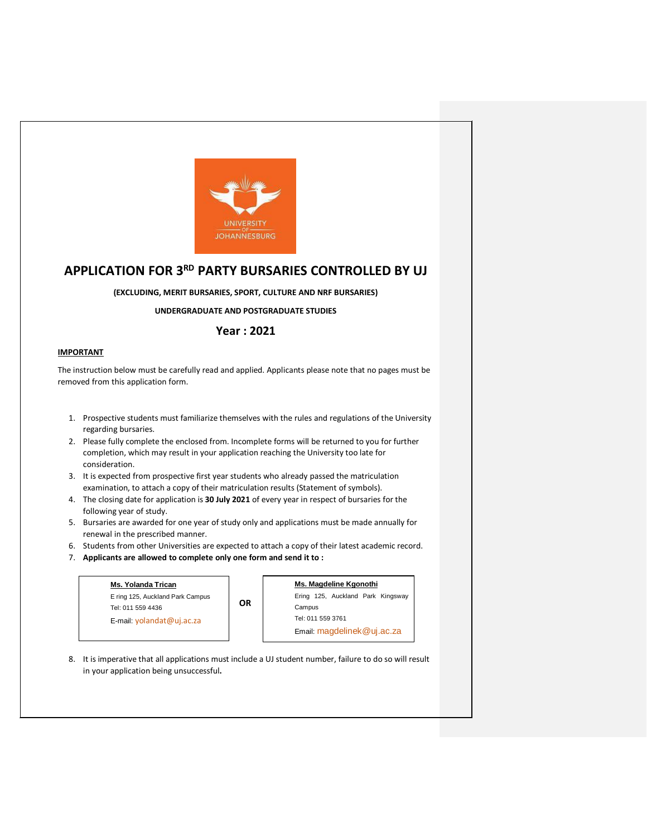

# **APPLICATION FOR 3RD PARTY BURSARIES CONTROLLED BY UJ**

**(EXCLUDING, MERIT BURSARIES, SPORT, CULTURE AND NRF BURSARIES)**

**UNDERGRADUATE AND POSTGRADUATE STUDIES**

# **Year : 2021**

#### **IMPORTANT**

The instruction below must be carefully read and applied. Applicants please note that no pages must be removed from this application form.

- 1. Prospective students must familiarize themselves with the rules and regulations of the University regarding bursaries.
- 2. Please fully complete the enclosed from. Incomplete forms will be returned to you for further completion, which may result in your application reaching the University too late for consideration.
- 3. It is expected from prospective first year students who already passed the matriculation examination, to attach a copy of their matriculation results (Statement of symbols).
- 4. The closing date for application is **30 July 2021** of every year in respect of bursaries for the following year of study.
- 5. Bursaries are awarded for one year of study only and applications must be made annually for renewal in the prescribed manner.
- 6. Students from other Universities are expected to attach a copy of their latest academic record.
- 7. **Applicants are allowed to complete only one form and send it to :**

| Ms. Yolanda Trican                                    |    | Ms. Magdeline Kgonothi                          |  |  |  |
|-------------------------------------------------------|----|-------------------------------------------------|--|--|--|
| E ring 125, Auckland Park Campus<br>Tel: 011 559 4436 | ΟR | Ering 125, Auckland Park Kingsway<br>Campus     |  |  |  |
| E-mail: $v$ olandat@uj.ac.za                          |    | Tel: 011 559 3761<br>Email: magdelinek@uj.ac.za |  |  |  |

8. It is imperative that all applications must include a UJ student number, failure to do so will result in your application being unsuccessful**.**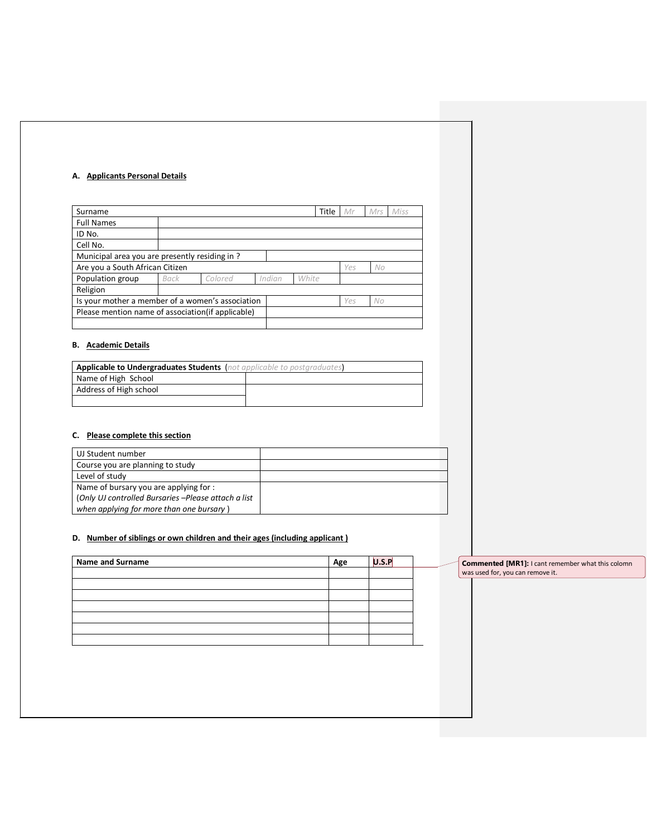#### **A. Applicants Personal Details**

| Surname                                                       |      |         |        | Title | Mr  | Mrs<br>Miss |
|---------------------------------------------------------------|------|---------|--------|-------|-----|-------------|
| <b>Full Names</b>                                             |      |         |        |       |     |             |
| ID No.                                                        |      |         |        |       |     |             |
| Cell No.                                                      |      |         |        |       |     |             |
| Municipal area you are presently residing in?                 |      |         |        |       |     |             |
| Are you a South African Citizen                               |      |         |        |       | Yes | No          |
| Population group                                              | Back | Colored | Indian | White |     |             |
| Religion                                                      |      |         |        |       |     |             |
| Is your mother a member of a women's association<br>No<br>Yes |      |         |        |       |     |             |
| Please mention name of association (if applicable)            |      |         |        |       |     |             |
|                                                               |      |         |        |       |     |             |

#### **B. Academic Details**

| <b>Applicable to Undergraduates Students</b> (not applicable to postgraduates) |  |  |  |
|--------------------------------------------------------------------------------|--|--|--|
| Name of High School                                                            |  |  |  |
| Address of High school                                                         |  |  |  |
|                                                                                |  |  |  |

## **C. Please complete this section**

| UJ Student number                                   |  |
|-----------------------------------------------------|--|
| Course you are planning to study                    |  |
| Level of study                                      |  |
| Name of bursary you are applying for:               |  |
| (Only UJ controlled Bursaries -Please attach a list |  |
| when applying for more than one bursary)            |  |

## **D. Number of siblings or own children and their ages (including applicant )**

| <b>Name and Surname</b> | Age | U.S.F |  | Commented [MR1]: I cant remember what this colomn |
|-------------------------|-----|-------|--|---------------------------------------------------|
|                         |     |       |  | was used for, you can remove it.                  |
|                         |     |       |  |                                                   |
|                         |     |       |  |                                                   |
|                         |     |       |  |                                                   |
|                         |     |       |  |                                                   |
|                         |     |       |  |                                                   |
|                         |     |       |  |                                                   |